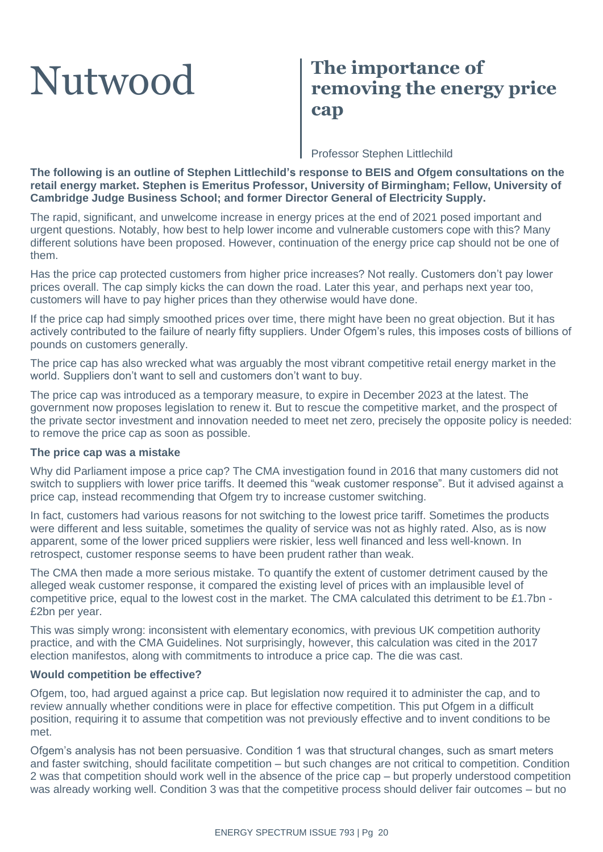# Nutwood **The importance of removing the energy price cap**

Professor Stephen Littlechild

**The following is an outline of Stephen Littlechild's response to BEIS and Ofgem consultations on the retail energy market. Stephen is Emeritus Professor, University of Birmingham; Fellow, University of Cambridge Judge Business School; and former Director General of Electricity Supply.**

The rapid, significant, and unwelcome increase in energy prices at the end of 2021 posed important and urgent questions. Notably, how best to help lower income and vulnerable customers cope with this? Many different solutions have been proposed. However, continuation of the energy price cap should not be one of them.

Has the price cap protected customers from higher price increases? Not really. Customers don't pay lower prices overall. The cap simply kicks the can down the road. Later this year, and perhaps next year too, customers will have to pay higher prices than they otherwise would have done.

If the price cap had simply smoothed prices over time, there might have been no great objection. But it has actively contributed to the failure of nearly fifty suppliers. Under Ofgem's rules, this imposes costs of billions of pounds on customers generally.

The price cap has also wrecked what was arguably the most vibrant competitive retail energy market in the world. Suppliers don't want to sell and customers don't want to buy.

The price cap was introduced as a temporary measure, to expire in December 2023 at the latest. The government now proposes legislation to renew it. But to rescue the competitive market, and the prospect of the private sector investment and innovation needed to meet net zero, precisely the opposite policy is needed: to remove the price cap as soon as possible.

# **The price cap was a mistake**

Why did Parliament impose a price cap? The CMA investigation found in 2016 that many customers did not switch to suppliers with lower price tariffs. It deemed this "weak customer response". But it advised against a price cap, instead recommending that Ofgem try to increase customer switching.

In fact, customers had various reasons for not switching to the lowest price tariff. Sometimes the products were different and less suitable, sometimes the quality of service was not as highly rated. Also, as is now apparent, some of the lower priced suppliers were riskier, less well financed and less well-known. In retrospect, customer response seems to have been prudent rather than weak.

The CMA then made a more serious mistake. To quantify the extent of customer detriment caused by the alleged weak customer response, it compared the existing level of prices with an implausible level of competitive price, equal to the lowest cost in the market. The CMA calculated this detriment to be £1.7bn - £2bn per year.

This was simply wrong: inconsistent with elementary economics, with previous UK competition authority practice, and with the CMA Guidelines. Not surprisingly, however, this calculation was cited in the 2017 election manifestos, along with commitments to introduce a price cap. The die was cast.

# **Would competition be effective?**

Ofgem, too, had argued against a price cap. But legislation now required it to administer the cap, and to review annually whether conditions were in place for effective competition. This put Ofgem in a difficult position, requiring it to assume that competition was not previously effective and to invent conditions to be met.

Ofgem's analysis has not been persuasive. Condition 1 was that structural changes, such as smart meters and faster switching, should facilitate competition – but such changes are not critical to competition. Condition 2 was that competition should work well in the absence of the price cap – but properly understood competition was already working well. Condition 3 was that the competitive process should deliver fair outcomes – but no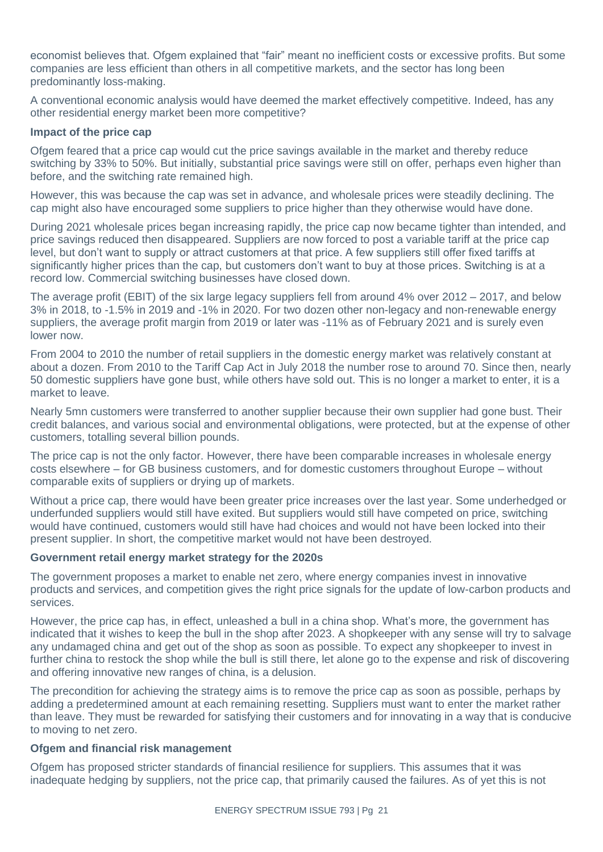economist believes that. Ofgem explained that "fair" meant no inefficient costs or excessive profits. But some companies are less efficient than others in all competitive markets, and the sector has long been predominantly loss-making.

A conventional economic analysis would have deemed the market effectively competitive. Indeed, has any other residential energy market been more competitive?

# **Impact of the price cap**

Ofgem feared that a price cap would cut the price savings available in the market and thereby reduce switching by 33% to 50%. But initially, substantial price savings were still on offer, perhaps even higher than before, and the switching rate remained high.

However, this was because the cap was set in advance, and wholesale prices were steadily declining. The cap might also have encouraged some suppliers to price higher than they otherwise would have done.

During 2021 wholesale prices began increasing rapidly, the price cap now became tighter than intended, and price savings reduced then disappeared. Suppliers are now forced to post a variable tariff at the price cap level, but don't want to supply or attract customers at that price. A few suppliers still offer fixed tariffs at significantly higher prices than the cap, but customers don't want to buy at those prices. Switching is at a record low. Commercial switching businesses have closed down.

The average profit (EBIT) of the six large legacy suppliers fell from around 4% over 2012 – 2017, and below 3% in 2018, to -1.5% in 2019 and -1% in 2020. For two dozen other non-legacy and non-renewable energy suppliers, the average profit margin from 2019 or later was -11% as of February 2021 and is surely even lower now.

From 2004 to 2010 the number of retail suppliers in the domestic energy market was relatively constant at about a dozen. From 2010 to the Tariff Cap Act in July 2018 the number rose to around 70. Since then, nearly 50 domestic suppliers have gone bust, while others have sold out. This is no longer a market to enter, it is a market to leave.

Nearly 5mn customers were transferred to another supplier because their own supplier had gone bust. Their credit balances, and various social and environmental obligations, were protected, but at the expense of other customers, totalling several billion pounds.

The price cap is not the only factor. However, there have been comparable increases in wholesale energy costs elsewhere – for GB business customers, and for domestic customers throughout Europe – without comparable exits of suppliers or drying up of markets.

Without a price cap, there would have been greater price increases over the last year. Some underhedged or underfunded suppliers would still have exited. But suppliers would still have competed on price, switching would have continued, customers would still have had choices and would not have been locked into their present supplier. In short, the competitive market would not have been destroyed.

# **Government retail energy market strategy for the 2020s**

The government proposes a market to enable net zero, where energy companies invest in innovative products and services, and competition gives the right price signals for the update of low-carbon products and services.

However, the price cap has, in effect, unleashed a bull in a china shop. What's more, the government has indicated that it wishes to keep the bull in the shop after 2023. A shopkeeper with any sense will try to salvage any undamaged china and get out of the shop as soon as possible. To expect any shopkeeper to invest in further china to restock the shop while the bull is still there, let alone go to the expense and risk of discovering and offering innovative new ranges of china, is a delusion.

The precondition for achieving the strategy aims is to remove the price cap as soon as possible, perhaps by adding a predetermined amount at each remaining resetting. Suppliers must want to enter the market rather than leave. They must be rewarded for satisfying their customers and for innovating in a way that is conducive to moving to net zero.

# **Ofgem and financial risk management**

Ofgem has proposed stricter standards of financial resilience for suppliers. This assumes that it was inadequate hedging by suppliers, not the price cap, that primarily caused the failures. As of yet this is not